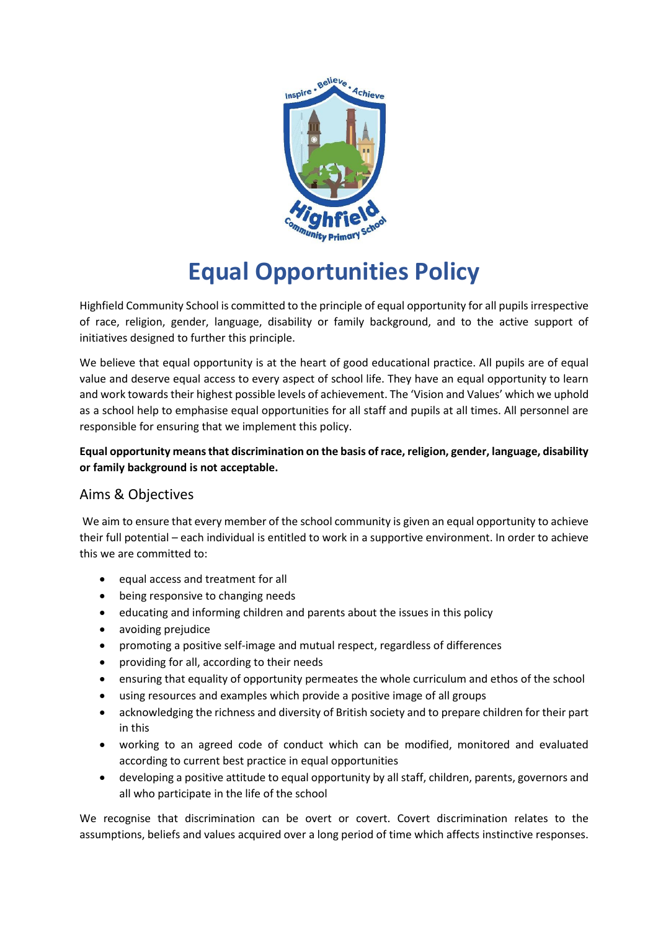

# **Equal Opportunities Policy**

Highfield Community School is committed to the principle of equal opportunity for all pupils irrespective of race, religion, gender, language, disability or family background, and to the active support of initiatives designed to further this principle.

We believe that equal opportunity is at the heart of good educational practice. All pupils are of equal value and deserve equal access to every aspect of school life. They have an equal opportunity to learn and work towards their highest possible levels of achievement. The 'Vision and Values' which we uphold as a school help to emphasise equal opportunities for all staff and pupils at all times. All personnel are responsible for ensuring that we implement this policy.

#### **Equal opportunity means that discrimination on the basis of race, religion, gender, language, disability or family background is not acceptable.**

# Aims & Objectives

We aim to ensure that every member of the school community is given an equal opportunity to achieve their full potential – each individual is entitled to work in a supportive environment. In order to achieve this we are committed to:

- equal access and treatment for all
- being responsive to changing needs
- educating and informing children and parents about the issues in this policy
- avoiding prejudice
- promoting a positive self-image and mutual respect, regardless of differences
- providing for all, according to their needs
- ensuring that equality of opportunity permeates the whole curriculum and ethos of the school
- using resources and examples which provide a positive image of all groups
- acknowledging the richness and diversity of British society and to prepare children for their part in this
- working to an agreed code of conduct which can be modified, monitored and evaluated according to current best practice in equal opportunities
- developing a positive attitude to equal opportunity by all staff, children, parents, governors and all who participate in the life of the school

We recognise that discrimination can be overt or covert. Covert discrimination relates to the assumptions, beliefs and values acquired over a long period of time which affects instinctive responses.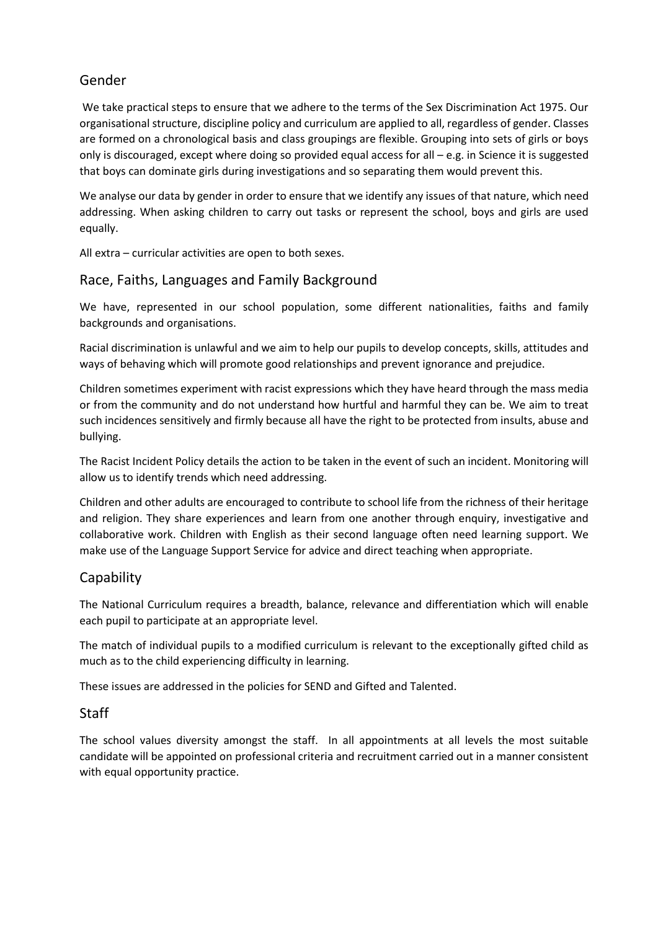# Gender

We take practical steps to ensure that we adhere to the terms of the Sex Discrimination Act 1975. Our organisational structure, discipline policy and curriculum are applied to all, regardless of gender. Classes are formed on a chronological basis and class groupings are flexible. Grouping into sets of girls or boys only is discouraged, except where doing so provided equal access for all – e.g. in Science it is suggested that boys can dominate girls during investigations and so separating them would prevent this.

We analyse our data by gender in order to ensure that we identify any issues of that nature, which need addressing. When asking children to carry out tasks or represent the school, boys and girls are used equally.

All extra – curricular activities are open to both sexes.

#### Race, Faiths, Languages and Family Background

We have, represented in our school population, some different nationalities, faiths and family backgrounds and organisations.

Racial discrimination is unlawful and we aim to help our pupils to develop concepts, skills, attitudes and ways of behaving which will promote good relationships and prevent ignorance and prejudice.

Children sometimes experiment with racist expressions which they have heard through the mass media or from the community and do not understand how hurtful and harmful they can be. We aim to treat such incidences sensitively and firmly because all have the right to be protected from insults, abuse and bullying.

The Racist Incident Policy details the action to be taken in the event of such an incident. Monitoring will allow us to identify trends which need addressing.

Children and other adults are encouraged to contribute to school life from the richness of their heritage and religion. They share experiences and learn from one another through enquiry, investigative and collaborative work. Children with English as their second language often need learning support. We make use of the Language Support Service for advice and direct teaching when appropriate.

### **Capability**

The National Curriculum requires a breadth, balance, relevance and differentiation which will enable each pupil to participate at an appropriate level.

The match of individual pupils to a modified curriculum is relevant to the exceptionally gifted child as much as to the child experiencing difficulty in learning.

These issues are addressed in the policies for SEND and Gifted and Talented.

#### Staff

The school values diversity amongst the staff. In all appointments at all levels the most suitable candidate will be appointed on professional criteria and recruitment carried out in a manner consistent with equal opportunity practice.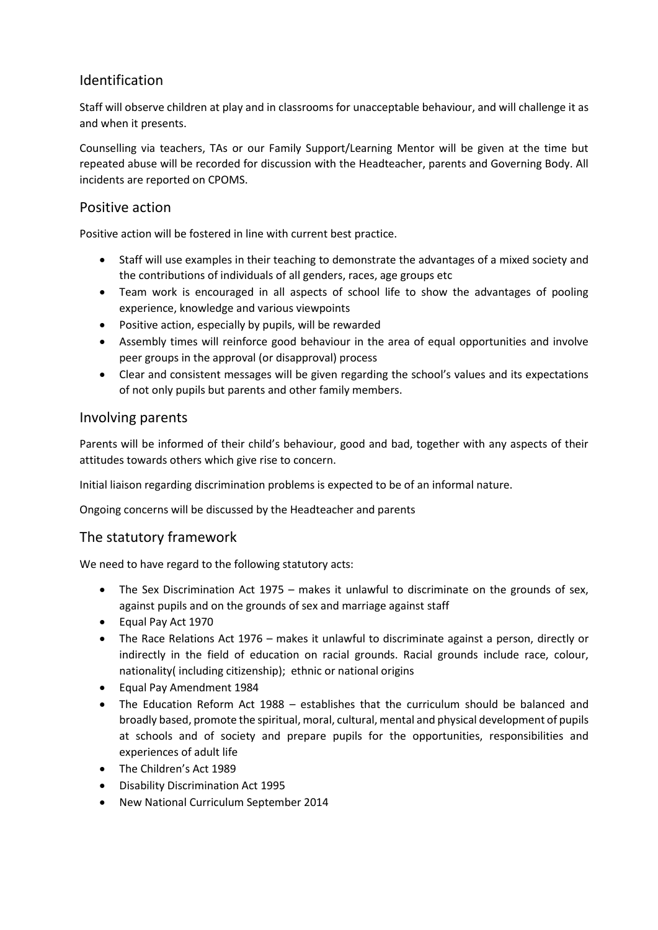# Identification

Staff will observe children at play and in classrooms for unacceptable behaviour, and will challenge it as and when it presents.

Counselling via teachers, TAs or our Family Support/Learning Mentor will be given at the time but repeated abuse will be recorded for discussion with the Headteacher, parents and Governing Body. All incidents are reported on CPOMS.

#### Positive action

Positive action will be fostered in line with current best practice.

- Staff will use examples in their teaching to demonstrate the advantages of a mixed society and the contributions of individuals of all genders, races, age groups etc
- Team work is encouraged in all aspects of school life to show the advantages of pooling experience, knowledge and various viewpoints
- Positive action, especially by pupils, will be rewarded
- Assembly times will reinforce good behaviour in the area of equal opportunities and involve peer groups in the approval (or disapproval) process
- Clear and consistent messages will be given regarding the school's values and its expectations of not only pupils but parents and other family members.

#### Involving parents

Parents will be informed of their child's behaviour, good and bad, together with any aspects of their attitudes towards others which give rise to concern.

Initial liaison regarding discrimination problems is expected to be of an informal nature.

Ongoing concerns will be discussed by the Headteacher and parents

#### The statutory framework

We need to have regard to the following statutory acts:

- The Sex Discrimination Act 1975 makes it unlawful to discriminate on the grounds of sex, against pupils and on the grounds of sex and marriage against staff
- Equal Pay Act 1970
- The Race Relations Act 1976 makes it unlawful to discriminate against a person, directly or indirectly in the field of education on racial grounds. Racial grounds include race, colour, nationality( including citizenship); ethnic or national origins
- Equal Pay Amendment 1984
- The Education Reform Act 1988 establishes that the curriculum should be balanced and broadly based, promote the spiritual, moral, cultural, mental and physical development of pupils at schools and of society and prepare pupils for the opportunities, responsibilities and experiences of adult life
- The Children's Act 1989
- Disability Discrimination Act 1995
- New National Curriculum September 2014